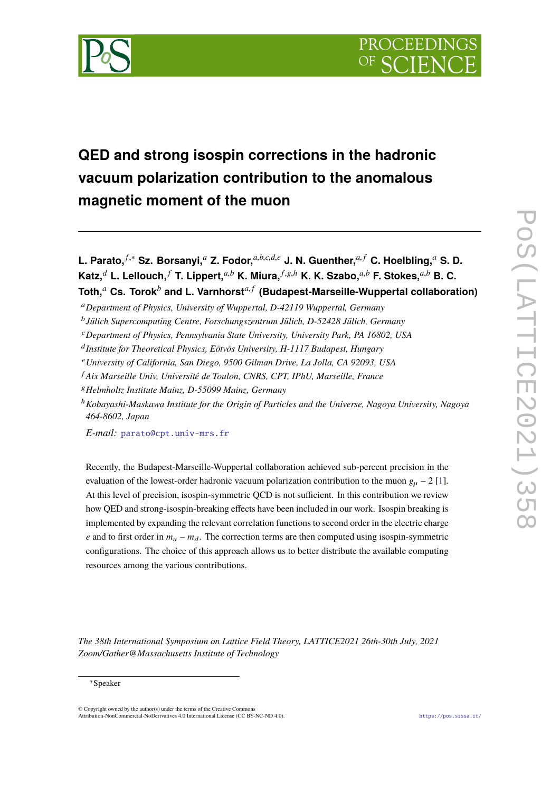<span id="page-0-0"></span>

# **QED and strong isospin corrections in the hadronic vacuum polarization contribution to the anomalous magnetic moment of the muon**

**L. Parato,** *<sup>f</sup>*,<sup>∗</sup> **Sz. Borsanyi,***<sup>a</sup>* **Z. Fodor,***a*,*b*,*c*,*d*,*<sup>e</sup>* **J. N. Guenther,***a*, *<sup>f</sup>* **C. Hoelbling,***<sup>a</sup>* **S. D. Katz,**<sup>*d*</sup> L. Lellouch,<sup>*f*</sup> T. Lippert,<sup>*a,b*</sup> K. Miura, $f, g, h$ </sub> K. K. Szabo, $a, b$  F. Stokes, $a, b$  B. C. **Toth,***<sup>a</sup>* **Cs. Torok***<sup>b</sup>* **and L. Varnhorst***a*, *<sup>f</sup>* **(Budapest-Marseille-Wuppertal collaboration)**

*E-mail:* [parato@cpt.univ-mrs.fr](mailto:parato@cpt.univ-mrs.fr)

Recently, the Budapest-Marseille-Wuppertal collaboration achieved sub-percent precision in the evaluation of the lowest-order hadronic vacuum polarization contribution to the muon  $g_u - 2$  [\[1\]](#page-9-0). At this level of precision, isospin-symmetric QCD is not sufficient. In this contribution we review how QED and strong-isospin-breaking effects have been included in our work. Isospin breaking is implemented by expanding the relevant correlation functions to second order in the electric charge *e* and to first order in  $m_u - m_d$ . The correction terms are then computed using isospin-symmetric configurations. The choice of this approach allows us to better distribute the available computing resources among the various contributions.

*The 38th International Symposium on Lattice Field Theory, LATTICE2021 26th-30th July, 2021 Zoom/Gather@Massachusetts Institute of Technology*

<sup>a</sup>*Department of Physics, University of Wuppertal, D-42119 Wuppertal, Germany*

b *Jülich Supercomputing Centre, Forschungszentrum Jülich, D-52428 Jülich, Germany*

<sup>c</sup>*Department of Physics, Pennsylvania State University, University Park, PA 16802, USA*

d *Institute for Theoretical Physics, Eötvös University, H-1117 Budapest, Hungary*

<sup>e</sup>*University of California, San Diego, 9500 Gilman Drive, La Jolla, CA 92093, USA*

<sup>f</sup> *Aix Marseille Univ, Université de Toulon, CNRS, CPT, IPhU, Marseille, France*

<sup>g</sup>*Helmholtz Institute Mainz, D-55099 Mainz, Germany*

<sup>h</sup>*Kobayashi-Maskawa Institute for the Origin of Particles and the Universe, Nagoya University, Nagoya 464-8602, Japan*

<sup>∗</sup>Speaker

<sup>©</sup> Copyright owned by the author(s) under the terms of the Creative Commons Attribution-NonCommercial-NoDerivatives 4.0 International License (CC BY-NC-ND 4.0). <https://pos.sissa.it/>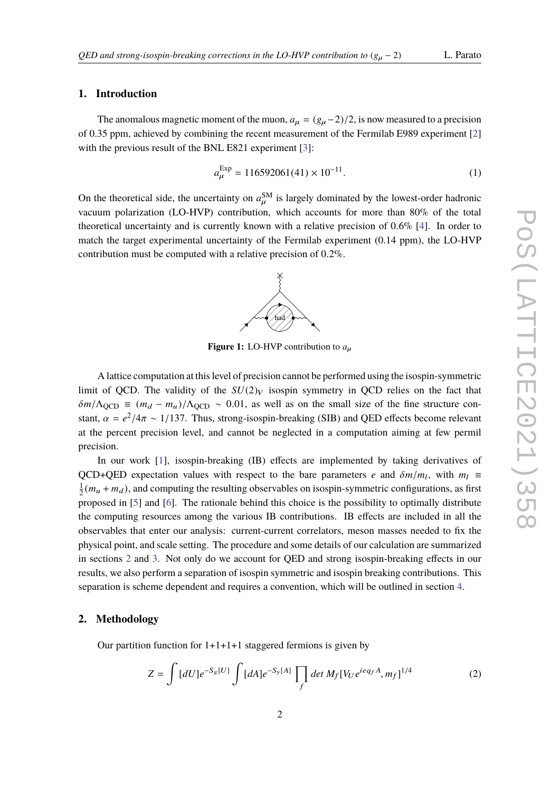#### **1. Introduction**

The anomalous magnetic moment of the muon,  $a_\mu = (g_\mu - 2)/2$ , is now measured to a precision of 0.35 ppm, achieved by combining the recent measurement of the Fermilab E989 experiment [\[2\]](#page-10-0) with the previous result of the BNL E821 experiment [\[3\]](#page-10-1):

$$
a_{\mu}^{\text{Exp}} = 116592061(41) \times 10^{-11}.
$$
 (1)

<span id="page-1-1"></span>On the theoretical side, the uncertainty on  $a_u^{\text{SM}}$  is largely dominated by the lowest-order hadronic vacuum polarization (LO-HVP) contribution, which accounts for more than 80% of the total theoretical uncertainty and is currently known with a relative precision of <sup>0</sup>.6% [\[4\]](#page-10-2). In order to match the target experimental uncertainty of the Fermilab experiment (0.14 ppm), the LO-HVP contribution must be computed with a relative precision of <sup>0</sup>.2%.



**Figure 1:** LO-HVP contribution to  $a_{\mu}$ 

A lattice computation at this level of precision cannot be performed using the isospin-symmetric limit of QCD. The validity of the  $SU(2)_V$  isospin symmetry in QCD relies on the fact that  $\delta m/\Lambda_{\text{QCD}} \equiv (m_d - m_u)/\Lambda_{\text{QCD}} \sim 0.01$ , as well as on the small size of the fine structure constant,  $\alpha = e^2/4\pi \sim 1/137$ . Thus, strong-isospin-breaking (SIB) and QED effects become relevant at the percent precision level, and cannot be neglected in a computation aiming at few permil precision.

In our work [\[1\]](#page-9-0), isospin-breaking (IB) effects are implemented by taking derivatives of QCD+QED expectation values with respect to the bare parameters *e* and  $\delta m/m_l$ , with  $m_l \equiv$ <br> $\frac{1}{2}(m_l + m_l)$  and computing the resulting cheerwalles on isosnin symmetric configurations as first 1  $\frac{1}{2}(m_u + m_d)$ , and computing the resulting observables on isospin-symmetric configurations, as first proposed in [\[5\]](#page-10-3) and [\[6\]](#page-10-4). The rationale behind this choice is the possibility to optimally distribute the computing resources among the various IB contributions. IB effects are included in all the observables that enter our analysis: current-current correlators, meson masses needed to fix the physical point, and scale setting. The procedure and some details of our calculation are summarized in sections [2](#page-1-0) and [3.](#page-3-0) Not only do we account for QED and strong isospin-breaking effects in our results, we also perform a separation of isospin symmetric and isospin breaking contributions. This separation is scheme dependent and requires a convention, which will be outlined in section [4.](#page-6-0)

#### <span id="page-1-0"></span>**2. Methodology**

Our partition function for 1+1+1+1 staggered fermions is given by

$$
Z = \int [dU] e^{-S_g[U]} \int [dA] e^{-S_y[A]} \prod_f \det M_f [V_U e^{i e q_f A}, m_f]^{1/4}
$$
 (2)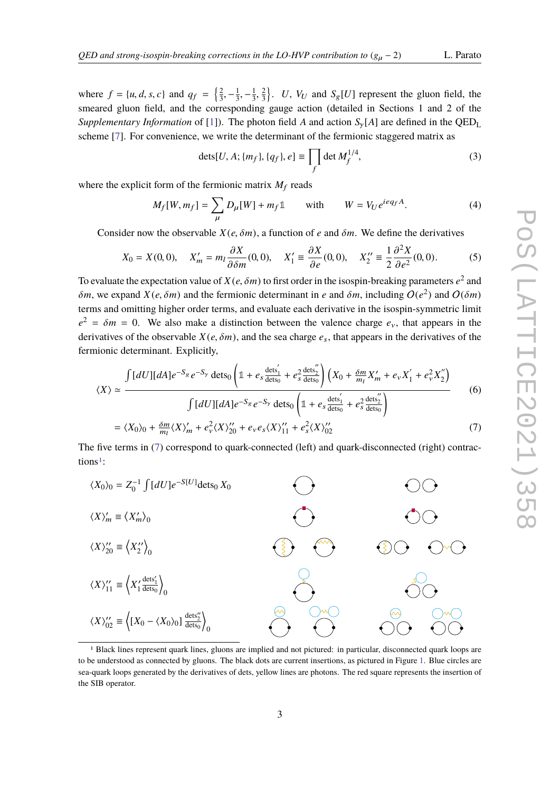where  $f = \{u, d, s, c\}$  and  $q_f =$  $\sqrt{2}$  $\frac{2}{3}, -\frac{1}{3}$  $\frac{1}{3}$ ,  $-\frac{1}{3}$ 3 smeared gluon field, and the corresponding gauge action (detailed in Sections 1 and 2 of the 2 3 ) *U*,  $V_U$  and  $S_g[U]$  represent the gluon field, the *Supplementary Information* of [\[1\]](#page-9-0)). The photon field *A* and action  $S_v[A]$  are defined in the QED<sub>L</sub> scheme [\[7\]](#page-10-5). For convenience, we write the determinant of the fermionic staggered matrix as

$$
dets[U, A; \{m_f\}, \{q_f\}, e] \equiv \prod_f \det M_f^{1/4},\tag{3}
$$

where the explicit form of the fermionic matrix  $M_f$  reads

$$
M_f[W, m_f] = \sum_{\mu} D_{\mu}[W] + m_f \mathbb{1} \quad \text{with} \quad W = V_U e^{i e q_f A}.
$$
 (4)

Consider now the observable  $X(e, \delta m)$ , a function of *e* and  $\delta m$ . We define the derivatives

$$
X_0 = X(0,0), \quad X'_m = m_l \frac{\partial X}{\partial \delta m}(0,0), \quad X'_1 \equiv \frac{\partial X}{\partial e}(0,0), \quad X''_2 \equiv \frac{1}{2} \frac{\partial^2 X}{\partial e^2}(0,0).
$$
 (5)

To evaluate the expectation value of  $X(e, \delta m)$  to first order in the isospin-breaking parameters  $e^2$  and  $S(u, w)$  and  $Y(e, \delta w)$  and the formionic determinant in each  $\delta w$ , including  $O(e^2)$  and  $O(\delta m)$  $\delta m$ , we expand  $X(e, \delta m)$  and the fermionic determinant in *e* and  $\delta m$ , including  $O(e^2)$  and  $O(\delta m)$ <br>terms and omitting higher arder terms, and systems are derivative in the isospin symmetric limit terms and omitting higher order terms, and evaluate each derivative in the isospin-symmetric limit  $e^2 = \delta m = 0$ . We also make a distinction between the valence charge  $e_v$ , that appears in the derivatives of the charge of the charge of the constant  $Y(e, \delta m)$  and the see charge *e*, that appears in the derivatives of th derivatives of the observable  $X(e, \delta m)$ , and the sea charge  $e_s$ , that appears in the derivatives of the fermionic determinant. Explicitly,

<span id="page-2-0"></span>
$$
\langle X \rangle \simeq \frac{\int [dU][dA]e^{-S_g} e^{-S_y} \det s_0 \left( \mathbb{1} + e_s \frac{\det s_1'}{\det s_0} + e_s^2 \frac{\det s_2''}{\det s_0} \right) \left( X_0 + \frac{\delta m}{m_l} X_m' + e_v X_1' + e_v^2 X_2'' \right)}{\int [dU][dA]e^{-S_g} e^{-S_y} \det s_0 \left( \mathbb{1} + e_s \frac{\det s_1'}{\det s_0} + e_s^2 \frac{\det s_2''}{\det s_0} \right)}
$$
(6)  
=  $\langle X_0 \rangle_0 + \frac{\delta m}{m_l} \langle X \rangle_m' + e_v^2 \langle X \rangle_{20}'' + e_v e_s \langle X \rangle_{11}' + e_s^2 \langle X \rangle_{02}''$  (7)

The five terms in [\(7\)](#page-2-0) correspond to quark-connected (left) and quark-disconnected (right) contrac-tions<sup>[1](#page-2-1)</sup>:



<span id="page-2-1"></span><sup>1</sup> Black lines represent quark lines, gluons are implied and not pictured: in particular, disconnected quark loops are to be understood as connected by gluons. The black dots are current insertions, as pictured in Figure [1.](#page-1-1) Blue circles are sea-quark loops generated by the derivatives of dets, yellow lines are photons. The red square represents the insertion of the SIB operator.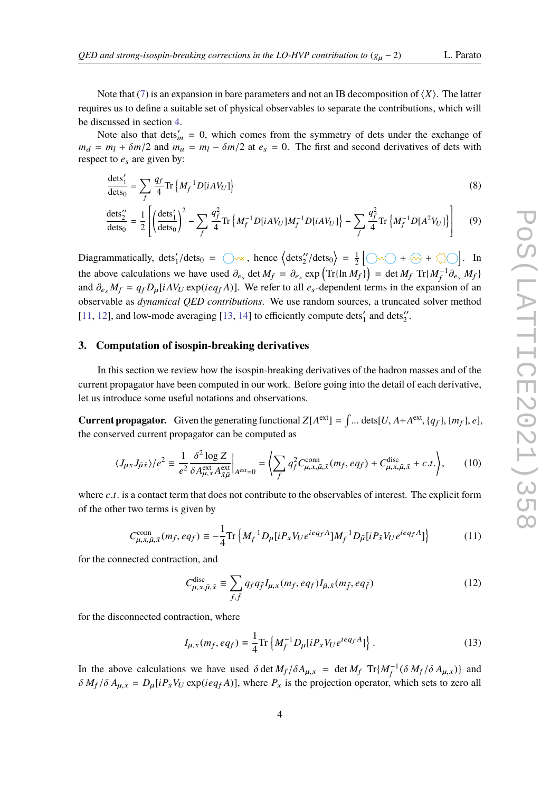g

Note that [\(7\)](#page-2-0) is an expansion in bare parameters and not an IB decomposition of  $\langle X \rangle$ . The latter requires us to define a suitable set of physical observables to separate the contributions, which will be discussed in section [4.](#page-6-0)

Note also that dets<sup> $m$ </sup> = 0, which comes from the symmetry of dets under the exchange of  $m_d = m_l + \delta m/2$  and  $m_u = m_l - \delta m/2$  at  $e_s = 0$ . The first and second derivatives of dets with respect to  $e_s$  are given by:

$$
\frac{\det s_1'}{\det s_0} = \sum_f \frac{q_f}{4} \text{Tr} \left\{ M_f^{-1} D[iAV_U] \right\} \tag{8}
$$

$$
\frac{\text{dets}_2''}{\text{dets}_0} = \frac{1}{2} \left[ \left( \frac{\text{dets}_1'}{\text{dets}_0} \right)^2 - \sum_f \frac{q_f^2}{4} \text{Tr} \left\{ M_f^{-1} D[iAV_U] M_f^{-1} D[iAV_U] \right\} - \sum_f \frac{q_f^2}{4} \text{Tr} \left\{ M_f^{-1} D[A^2 V_U] \right\} \right] \tag{9}
$$

f

Diagrammatically,  $\text{dets}'_1/\text{dets}_0 = \bigcirc \sim \star$ , hence  $\langle \text{dets}''_2/\text{dets}_0 \rangle = \frac{1}{2}$  $\frac{1}{2}$   $\bigcirc$   $\sim$   $\bigcirc$  +  $\otimes$  +  $\stackrel{?}{\sim}$   $\bigcirc$   $\bigcirc$  . In the above calculations we have used  $\partial_{e_s}$  det  $M_f = \partial_{e_s} \exp\left(\text{Tr}\{\ln M_f\}\right) = \det M_f \text{ Tr}\{M_f^{-1}\partial_{e_s} M_f\}$ and  $\partial_{e_s} M_f = q_f D_\mu [i A V_U \exp(i e q_f A)]$ . We refer to all  $e_s$ -dependent terms in the expansion of an observable as *dynamical QED contributions*. We use random sources, a truncated solver method [\[11,](#page-10-6) [12\]](#page-10-7), and low-mode averaging [\[13,](#page-10-8) [14\]](#page-10-9) to efficiently compute  $\text{dets}'_1$  and  $\text{dets}''_2$ .

#### <span id="page-3-0"></span>**3. Computation of isospin-breaking derivatives**

In this section we review how the isospin-breaking derivatives of the hadron masses and of the current propagator have been computed in our work. Before going into the detail of each derivative, let us introduce some useful notations and observations.

**Current propagator.** Given the generating functional  $Z[A^{\text{ext}}] = \int ... \text{ dets}[U, A + A^{\text{ext}}, \{q_f\}, \{m_f\}, e],$ <br>the generated event proposator can be computed as the conserved current propagator can be computed as

$$
\langle J_{\mu x} J_{\bar{\mu}\bar{x}} \rangle / e^2 \equiv \frac{1}{e^2} \frac{\delta^2 \log Z}{\delta A_{\mu, x}^{\text{ext}} A_{\bar{x}\bar{\mu}}^{\text{ext}}} \bigg|_{A^{\text{ext}} = 0} = \bigg\langle \sum_f q_f^2 C_{\mu, x, \bar{\mu}, \bar{x}}^{\text{conn}} (m_f, e q_f) + C_{\mu, x, \bar{\mu}, \bar{x}}^{\text{disc}} + c.t. \bigg\rangle, \tag{10}
$$

where *c*.*t*. is a contact term that does not contribute to the observables of interest. The explicit form of the other two terms is given by

$$
C_{\mu,x,\bar{\mu},\bar{x}}^{\text{conn}}(m_f, eq_f) \equiv -\frac{1}{4} \text{Tr} \left\{ M_f^{-1} D_\mu [i P_x V_U e^{ieq_f A}] M_f^{-1} D_{\bar{\mu}} [i P_{\bar{x}} V_U e^{ieq_f A}] \right\}
$$
(11)

for the connected contraction, and

<span id="page-3-1"></span>
$$
C_{\mu,x,\bar{\mu},\bar{x}}^{\text{disc}} \equiv \sum_{f,\bar{f}} q_f q_{\bar{f}} I_{\mu,x}(m_f, eq_f) I_{\bar{\mu},\bar{x}}(m_{\bar{f}}, eq_{\bar{f}})
$$
(12)

for the disconnected contraction, where

$$
I_{\mu,x}(m_f, eq_f) \equiv \frac{1}{4} \text{Tr} \left\{ M_f^{-1} D_{\mu} [i P_x V_U e^{ieq_f A}] \right\}.
$$
 (13)

In the above calculations we have used  $\delta$  det  $M_f/\delta A_{\mu,x} = \det M_f \operatorname{Tr}\{M_f^{-1}(\delta M_f/\delta A_{\mu,x})\}$  and  $\delta M_f/\delta A_{\mu,x} = D_f D_f M_f$  and  $\delta M_f/\delta A_{\mu,x}$  $\delta M_f / \delta A_{\mu, x} = D_\mu [i P_x V_U \exp(i e q_f A)]$ , where  $P_x$  is the projection operator, which sets to zero all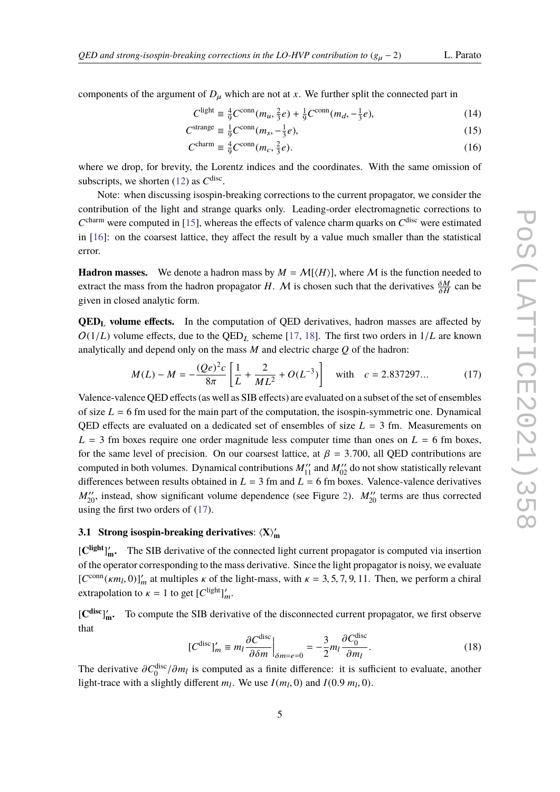components of the argument of  $D<sub>u</sub>$  which are not at *x*. We further split the connected part in

$$
C^{\text{light}} \equiv \frac{4}{9} C^{\text{conn}}(m_u, \frac{2}{3}e) + \frac{1}{9} C^{\text{conn}}(m_d, -\frac{1}{3}e),\tag{14}
$$

$$
C^{\text{strange}} \equiv \frac{1}{9} C^{\text{conn}} (m_s, -\frac{1}{3} e), \tag{15}
$$

$$
C^{\text{charm}} \equiv \frac{4}{9} C^{\text{conn}}(m_c, \frac{2}{3}e). \tag{16}
$$

where we drop, for brevity, the Lorentz indices and the coordinates. With the same omission of subscripts, we shorten  $(12)$  as  $C<sup>disc</sup>$ .

Note: when discussing isospin-breaking corrections to the current propagator, we consider the contribution of the light and strange quarks only. Leading-order electromagnetic corrections to  $C<sup>charm</sup>$  were computed in [\[15\]](#page-10-10), whereas the effects of valence charm quarks on  $C<sup>disc</sup>$  were estimated in [\[16\]](#page-10-11): on the coarsest lattice, they affect the result by a value much smaller than the statistical error.

**Hadron masses.** We denote a hadron mass by  $M = \mathcal{M}(\langle H \rangle)$ , where M is the function needed to extract the mass from the hadron propagator *H*. M is chosen such that the derivatives  $\frac{\delta M}{\delta H}$  $\frac{\delta M}{\delta H}$  can be given in closed analytic form.

**QED<sup>L</sup> volume effects.** In the computation of QED derivatives, hadron masses are affected by  $O(1/L)$  volume effects, due to the  $QED<sub>L</sub>$  scheme [\[17,](#page-11-0) [18\]](#page-11-1). The first two orders in  $1/L$  are known analytically and depend only on the mass  $M$  and electric charge  $Q$  of the hadron:

<span id="page-4-0"></span>
$$
M(L) - M = -\frac{(Qe)^2c}{8\pi} \left[ \frac{1}{L} + \frac{2}{ML^2} + O(L^{-3}) \right] \quad \text{with} \quad c = 2.837297... \tag{17}
$$

Valence-valence QED effects (as well as SIB effects) are evaluated on a subset of the set of ensembles of size  $L = 6$  fm used for the main part of the computation, the isospin-symmetric one. Dynamical QED effects are evaluated on a dedicated set of ensembles of size  $L = 3$  fm. Measurements on  $L = 3$  fm boxes require one order magnitude less computer time than ones on  $L = 6$  fm boxes, for the same level of precision. On our coarsest lattice, at  $\beta = 3.700$ , all QED contributions are computed in both volumes. Dynamical contributions  $M_{11}''$  and  $M_{02}''$  do not show statistically relevant differences between results obtained in  $L = 3$  fm and  $L = 6$  fm boxes. Valence-valence derivatives  $M_{20}^{\prime\prime}$ , instead, show significant volume dependence (see Figure [2\)](#page-5-0).  $M_{20}^{\prime\prime}$  terms are thus corrected using the first two orders of [\(17\)](#page-4-0).

## **3.1** Strong isospin-breaking derivatives:  $\langle X \rangle'_{m}$

[C<sup>light</sup>]<sup>'</sup><sub>m</sub></sub>. The SIB derivative of the connected light current propagator is computed via insertion of the operator corresponding to the mass derivative. Since the light propagator is noisy, we evaluate  $[C^{\text{conn}}(\kappa m_l, 0)]'_m$  at multiples  $\kappa$  of the light-mass, with  $\kappa = 3, 5, 7, 9, 11$ . Then, we perform a chiral extremelation to  $\kappa = 1$  to get  $[C^{\text{light}}]$ . extrapolation to  $\kappa = 1$  to get  $[C^{\text{light}}]_m'$ .

[**C disc**] 0 **<sup>m</sup>.** To compute the SIB derivative of the disconnected current propagator, we first observe that

$$
[C^{\text{disc}}]'_m \equiv m_l \frac{\partial C^{\text{disc}}}{\partial \delta m}\Big|_{\delta m = e = 0} = -\frac{3}{2} m_l \frac{\partial C_0^{\text{disc}}}{\partial m_l}.
$$
 (18)

The derivative  $\partial C_0^{\text{disc}}/\partial m_l$  is computed as a finite difference: it is sufficient to evaluate, another light-trace with a slightly different  $m_l$ . We use  $I(m_l, 0)$  and  $I(0.9 m_l, 0)$ .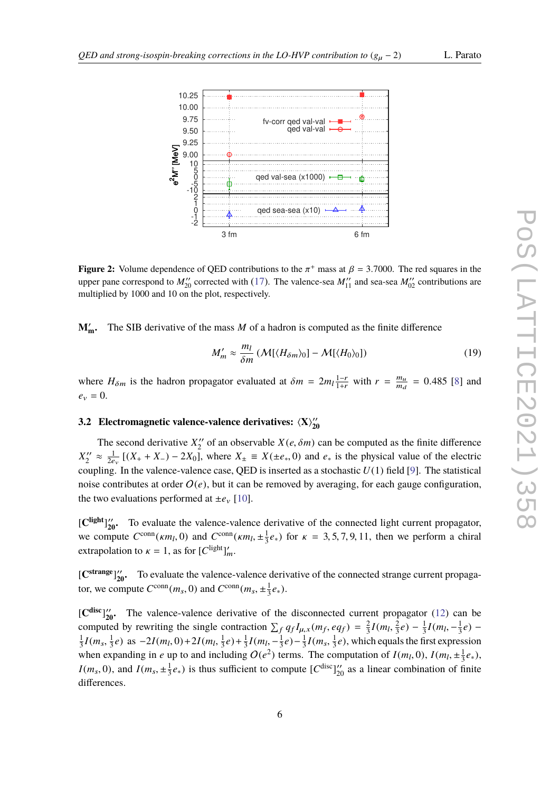<span id="page-5-0"></span>

Volume dependence of OED contributions to the  $\pi^+$  mass at  $\beta = 3,7000$ . The red square **Figure 2:** Volume dependence of QED contributions to the  $\pi^+$  mass at  $\beta = 3.7000$ . The red squares in the values are none correctional to  $M''$  contributions are upper pane correspond to  $M_{20}''$  corrected with [\(17\)](#page-4-0). The valence-sea  $M_{11}''$  and sea-sea  $M_{02}''$  contributions are multiplied by 1000 and 10 on the plot, respectively.

 $\mathbf{m}$ . The SIB derivative of the mass M of a hadron is computed as the finite difference  $M'_m$ .

$$
M'_m \approx \frac{m_l}{\delta m} \left( \mathcal{M}[\langle H_{\delta m} \rangle_0] - \mathcal{M}[\langle H_0 \rangle_0] \right) \tag{19}
$$

where  $H_{\delta m}$  is the hadron propagator evaluated at  $\delta m = 2m_l \frac{1-r}{1+r}$  with  $r = \frac{m_u}{m_d}$  $\frac{m_u}{m_d}$  = 0.485 [\[8\]](#page-10-12) and  $e_v = 0$ .

#### **3.2 Electromagnetic valence-valence derivatives:**  $\langle X \rangle_{20}^{\prime\prime}$ **20**

The second derivative  $X_2''$  of an observable  $X(e, \delta m)$  can be computed as the finite difference of  $P$  $X''_2 \approx \frac{1}{2e}$  [(X<sub>+</sub> + X<sub>-</sub>) – 2X<sub>0</sub>], where  $X_{\pm} \equiv X(\pm e_*, 0)$  and  $e_*$  is the physical value of the  $\infty$ These allow to calculate finite di↵erences with respect to *e<sup>v</sup>* and *m*, whereas the *e<sup>s</sup>* derivatives can be coupling. In the valence-valence case, QED is inserted as a stochastic  $U(1)$  field [\[9\]](#page-10-13). The statistical noise contributes at order  $O(e)$ , but it can be removed by averaging, for each gauge configuration,  $W$  is the nontation of  $\mathcal{H}$  for the hadron-propagator expectation of  $\mathcal{H}$  for  $\mathcal{H}$  and  $\mathcal{H}$  for  $\mathcal{H}$  and  $\mathcal{H}$  and  $\mathcal{H}$  for  $\mathcal{H}$  and  $\mathcal{H}$  are  $\mathcal{H}$  and  $\mathcal{H}$  and  $\mathcal{H}$  are  $\mathcal$ the two evaluations performed at  $\pm e_v$  [\[10\]](#page-10-14).  $Z'$  of an observable  $X(e, \delta m)$  can be computed as the finite difference  $Z_2'' \approx \frac{1}{2e_v} [(X_+ + X_-) - 2X_0]$ , where  $X_{\pm} \equiv X(\pm e_*, 0)$  and  $e_*$  is the physical value of the electric pulsing. In the valence valence ages OED is inserted as a stachastic *U*(1) field [0]. The statistical

 $\left[\text{C}^{\text{light}}\right]_{20}^{\prime\prime}$ . To evaluate the valence-valence derivative of the connected light current propagator, ute  $C^{\text{conn}}(\kappa m_l, 0)$  and  $C^{\text{conn}}(\kappa m_l, \pm \frac{1}{2}e_*)$  for  $\kappa = 3, 5, 7, 9, 11$ , then we perform a we compute  $C^{\text{conn}}(\kappa m_l, 0)$  and  $C^{\text{conn}}(\kappa m_l, \pm \frac{1}{3}e_*)$  for  $\kappa = 3, 5, 7, 9$ , extrapolation to  $\kappa = 1$ , as for  $[C^{\text{light}}]_m'$ .  $\frac{1}{3}e_*$ ) for  $\kappa = 3, 5, 7, 9, 11$ , then we perform a chiral

*H*<sup>20</sup><sup>*M*</sup> *H*<sup>20</sup>**<sup>***M***</sup>** *C*<sup>strange</sup><sup><sup>2</sup><sup>*M*</sup><sub>20</sub><sup>*M*</sup> *C C*<sub>2</sub><sup>*M*</sup> *C*<sup>*M*</sup> *C*<sup>*M*</sup> *C*<sup>*M*</sup> *C*<sup>*M*</sup> *C*<sup>*M*</sup> *C*<sup>*M*</sup> *C*<sup>*M*</sup> *C*<sup>*M*</sup> *C*<sup>*M*</sup> *C*<sup>*M*</sup> *C*<sup>*M*</sup> *C*<sup>*M*</sup> *C*<sup>*M*</sup> *C*<sup>*M*</sup> *C*<sup>*M*</sup> *C*<sup>*M*</sup> *C</sup>* tor, we compute  $C^{\text{conn}}(m_s, 0)$  and  $C^{\text{conn}}(m_s, \pm \frac{1}{3}e_*)$ .  $rac{1}{3}e_*$ ).

 $\left[\mathbf{C}^{\text{disc}}\right]_{20}^{\prime\prime}$ . The valence-valence derivative of the disconnected current propagator [\(12\)](#page-3-1) can be computed by rewriting the single contraction  $\sum_f q_f I_{\mu,x}(m_f, eq_f) = \frac{2}{3}$ <br> $\frac{1}{2} I(m-1e)$  as  $2I(m-0) + 2I(m-1e) + \frac{1}{2} I(m-1e)$ . This  $\frac{2}{3}I(m_l, \frac{2}{3})$  $\frac{1}{2}I(m - \frac{1}{2}a)$  as  $-2I(m, 0) + 2I(m, \frac{1}{2}a) + \frac{1}{2}I(m, -\frac{1}{2}a) - \frac{1}{2}I(m - \frac{1}{2}a)$  which equ  $(\frac{2}{3}e) - \frac{1}{3}$  $\frac{1}{3}I(m_l, -\frac{1}{3})$  $rac{1}{3}e$ ) –  $\frac{1}{3}I(m_s, \frac{1}{3})$  $\frac{1}{3}e$ ) as  $-2I(m_l, 0) + 2I(m_l, \frac{1}{3})$ when expanding in *e* up to and including  $O(e^2)$  terms. The computation of  $I(m_l, 0)$ ,  $I(m_l, \pm \frac{1}{3})$  $(\frac{1}{3}e) + \frac{1}{3}$  $\frac{1}{3}I(m_l, -\frac{1}{3})$  $(\frac{1}{3}e) - \frac{1}{3}$  $\frac{1}{3}I(m_s, \frac{1}{3})$  $\frac{1}{3}e$ , which equals the first expression  $rac{1}{3}e_*,$  $I(m_s, 0)$ , and  $I(m_s, \pm \frac{1}{3})$  $\frac{1}{3}e$ <sup>∗</sup>) is thus sufficient to compute  $[C^{disc}]_{20}^{"}$  as a linear combination of finite differences.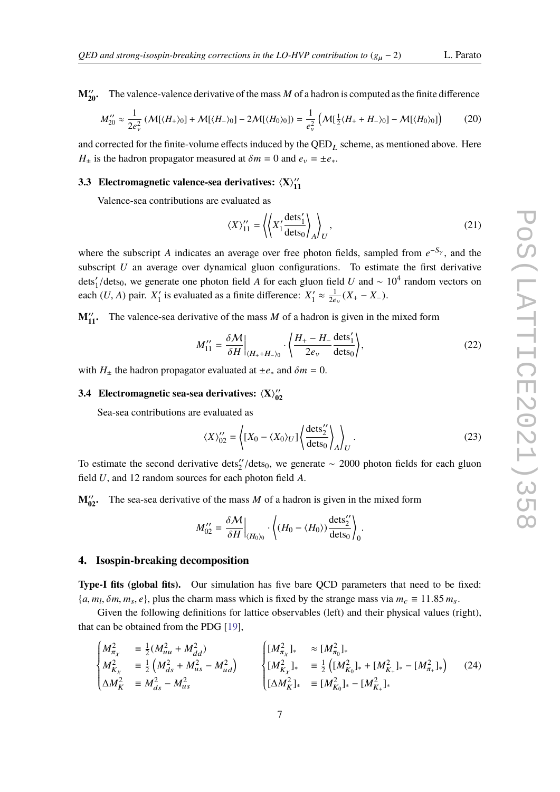$M_{20}^{\prime\prime}$ . **<sup>20</sup>.** The valence-valence derivative of the mass *M* of a hadron is computed as the finite difference

$$
M_{20}^{"'} \approx \frac{1}{2e_v^2} \left( \mathcal{M}[\langle H_+\rangle_0] + \mathcal{M}[\langle H_-\rangle_0] - 2\mathcal{M}[\langle H_0\rangle_0] \right) = \frac{1}{e_v^2} \left( \mathcal{M}[\frac{1}{2}\langle H_+ + H_-\rangle_0] - \mathcal{M}[\langle H_0\rangle_0] \right) \tag{20}
$$

and corrected for the finite-volume effects induced by the  $QED<sub>L</sub>$  scheme, as mentioned above. Here *H*<sup> $\pm$ </sup> is the hadron propagator measured at  $\delta m = 0$  and  $e_v = \pm e_*$ .

#### **3.3** Electromagnetic valence-sea derivatives:  $\langle X \rangle_1^{\prime\prime}$ **11**

Valence-sea contributions are evaluated as

$$
\langle X \rangle_{11}^{\prime\prime} = \left\langle \left\langle X_1^{\prime} \frac{\text{dets}_1^{\prime}}{\text{dets}_0} \right\rangle_A \right\rangle_U, \tag{21}
$$

where the subscript *A* indicates an average over free photon fields, sampled from  $e^{-S_y}$ , and the subscript *U* an average over dynamical gluon configurations. To estimate the first derivative dets'<sub>1</sub>/dets<sub>0</sub>, we generate one photon field *A* for each gluon field *U* and ∼ 10<sup>4</sup> random vectors on<br>each (*U* A) poin *Y'* is avalysted as a finite difference. *Y'* at  $\frac{1}{2}$  (*Y*  $\frac{V}{V}$ ) each  $(U, A)$  pair.  $X'_1$  $\frac{1}{1}$  is evaluated as a finite difference:  $X_1'$  $\frac{1}{1} \approx \frac{1}{2e_v} (X_+ - X_-).$ 

 $M_{11}^{\prime\prime}$ . The valence-sea derivative of the mass *M* of a hadron is given in the mixed form

$$
M_{11}^{"'} = \frac{\delta \mathcal{M}}{\delta H}\Big|_{\langle H_+ + H_- \rangle_0} \cdot \left\langle \frac{H_+ - H_-}{2e_v} \frac{\text{dets}_1'}{\text{dets}_0} \right\rangle, \tag{22}
$$

with  $H_{\pm}$  the hadron propagator evaluated at  $\pm e_*$  and  $\delta m = 0$ .

#### **3.4** Electromagnetic sea-sea derivatives:  $\langle X \rangle_0$ **02**

Sea-sea contributions are evaluated as

$$
\langle X \rangle_{02}^{\prime\prime} = \left\langle [X_0 - \langle X_0 \rangle_U] \left\langle \frac{\text{dets}_2^{\prime\prime}}{\text{dets}_0} \right\rangle_A \right\rangle_U. \tag{23}
$$

To estimate the second derivative dets<sup>'</sup>/dets<sub>0</sub>, we generate ∼ 2000 photon fields for each gluon field *U* and 12 madem severage for each photon field *A* field *U*, and 12 random sources for each photon field *A*.

 $M_{02}^{\prime\prime}$ . The sea-sea derivative of the mass *M* of a hadron is given in the mixed form

$$
M_{02}^{"'} = \frac{\delta M}{\delta H}\bigg|_{\langle H_0\rangle_0} \cdot \left\langle (H_0 - \langle H_0\rangle) \frac{\text{dets}_2^{"}}{\text{dets}_0} \right\rangle_0.
$$

### <span id="page-6-0"></span>**4. Isospin-breaking decomposition**

**Type-I fits (global fits).** Our simulation has five bare QCD parameters that need to be fixed:  ${a, m_l, \delta m, m_s, e}$ , plus the charm mass which is fixed by the strange mass via  $m_c \equiv 11.85 m_s$ .<br>Civen the following definitions for lettice observables (left) and their physical values (n

Given the following definitions for lattice observables (left) and their physical values (right), that can be obtained from the PDG [\[19\]](#page-11-2),

$$
\begin{cases}\nM_{\pi_X}^2 & \equiv \frac{1}{2}(M_{uu}^2 + M_{dd}^2) \\
M_{K_X}^2 & \equiv \frac{1}{2}\left(M_{ds}^2 + M_{us}^2 - M_{ud}^2\right) \\
\Delta M_K^2 & \equiv M_{ds}^2 - M_{us}^2\n\end{cases}\n\begin{cases}\n[M_{\pi_X}^2]_{*} & \approx [M_{\pi_0}^2]_{*} \\
[M_{K_X}^2]_{*} & \equiv \frac{1}{2}\left([M_{K_0}^2]_{*} + [M_{K_+}^2]_{*} - [M_{\pi_+}^2]_{*}\right)\n\end{cases}
$$
\n(24)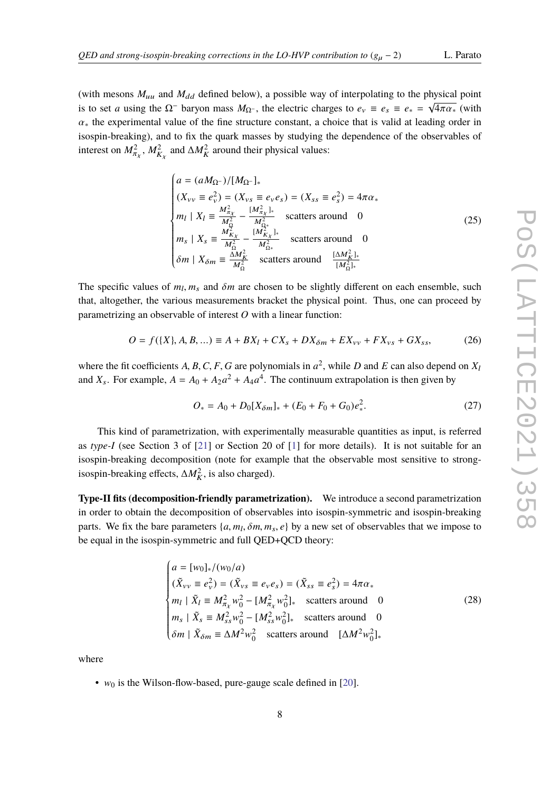$\mathbf{r}$ 

(with mesons  $M_{uu}$  and  $M_{dd}$  defined below), a possible way of interpolating to the physical point is to set *a* using the  $\Omega^-$  baryon mass  $M_{\Omega^-}$ , the electric charges to  $e_v \equiv e_s \equiv e_* = \sqrt{4\pi\alpha_*}$  (with  $\alpha_{*}$  the experimental value of the fine structure constant, a choice that is valid at leading order in isospin-breaking), and to fix the quark masses by studying the dependence of the observables of interest on  $M_\pi^2$ ,  $M_{K_X}^2$  and  $\Delta M_K^2$  around their physical values:

$$
\begin{cases}\na = (aM_{\Omega^-})/[M_{\Omega^-}]_* \\
(X_{\nu\nu} \equiv e_{\nu}^2) = (X_{\nu s} \equiv e_{\nu}e_s) = (X_{ss} \equiv e_s^2) = 4\pi\alpha_* \\
m_l \mid X_l \equiv \frac{M_{\pi\chi}^2}{M_{\Omega}^2} - \frac{[M_{\pi\chi}^2]_*}{M_{\Omega_*}^2} & \text{scatters around} \quad 0 \\
m_s \mid X_s \equiv \frac{M_{K\chi}^2}{M_{\Omega}^2} - \frac{[M_{K\chi}^2]_*}{M_{\Omega_*}^2} & \text{scatters around} \quad 0 \\
\delta m \mid X_{\delta m} \equiv \frac{\Delta M_K^2}{M_{\Omega}^2} & \text{scatters around} \quad \frac{[\Delta M_K^2]_*}{[M_{\Omega}^2]_*}\n\end{cases}
$$
\n(25)

The specific values of  $m_l$ ,  $m_s$  and  $\delta m$  are chosen to be slightly different on each ensemble, such that alteration the various measurements healer the physical point. Thus, are seen presental hy that, altogether, the various measurements bracket the physical point. Thus, one can proceed by parametrizing an observable of interest *O* with a linear function:

<span id="page-7-0"></span>
$$
O = f(\lbrace X \rbrace, A, B, \ldots) \equiv A + BX_I + CX_s + DX_{\delta m} + EX_{\nu\nu} + FX_{\nu s} + GX_{ss},\tag{26}
$$

where the fit coefficients *A*, *B*, *C*, *F*, *G* are polynomials in  $a^2$ , while *D* and *E* can also depend on *X*<sub>l</sub> and *X<sub>s</sub>*. For example,  $A = A_0 + A_2 a^2 + A_4 a^4$ . The continuum extrapolation is then given by

$$
O_* = A_0 + D_0[X_{\delta m}]_* + (E_0 + F_0 + G_0)e_*^2.
$$
 (27)

This kind of parametrization, with experimentally measurable quantities as input, is referred as *type-I* (see Section 3 of [\[21\]](#page-11-3) or Section 20 of [\[1\]](#page-9-0) for more details). It is not suitable for an isospin-breaking decomposition (note for example that the observable most sensitive to strongisospin-breaking effects,  $\Delta M_K^2$ , is also charged).

**Type-II fits (decomposition-friendly parametrization).** We introduce a second parametrization in order to obtain the decomposition of observables into isospin-symmetric and isospin-breaking parts. We fix the bare parameters  $\{a, m_l, \delta m, m_s, e\}$  by a new set of observables that we impose to the square the isospin symmetries and full OED. OCD theory. be equal in the isospin-symmetric and full QED+QCD theory:

$$
\begin{cases}\na = [w_0]_*/(w_0/a) \\
(\tilde{X}_{vv} \equiv e_v^2) = (\tilde{X}_{vs} \equiv e_v e_s) = (\tilde{X}_{ss} \equiv e_s^2) = 4\pi\alpha_* \\
m_l \mid \tilde{X}_l \equiv M_{\pi_X}^2 w_0^2 - [M_{\pi_X}^2 w_0^2]_* & \text{scatters around} \quad 0 \\
m_s \mid \tilde{X}_s \equiv M_{ss}^2 w_0^2 - [M_{ss}^2 w_0^2]_* & \text{scatters around} \quad 0 \\
\delta m \mid \tilde{X}_{\delta m} \equiv \Delta M^2 w_0^2 & \text{scatters around} \quad [\Delta M^2 w_0^2]_*\n\end{cases}
$$
\n(28)

where

•  $w_0$  is the Wilson-flow-based, pure-gauge scale defined in [\[20\]](#page-11-4).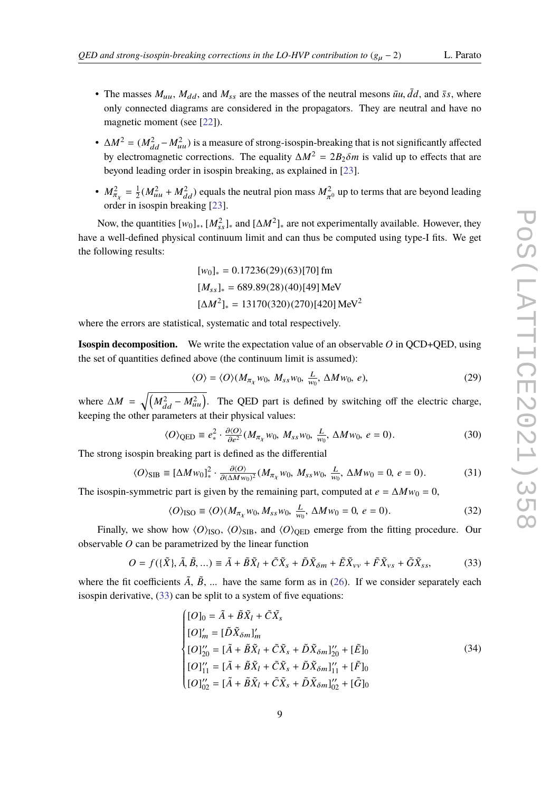- The masses  $M_{uu}$ ,  $M_{dd}$ , and  $M_{ss}$  are the masses of the neutral mesons  $\bar{u}u$ ,  $\bar{d}d$ , and  $\bar{s}s$ , where only connected diagrams are considered in the propagators. They are neutral and have no magnetic moment (see [\[22\]](#page-11-5)).
- $\Delta M^2 = (M_{dd}^2 M_{uu}^2)$  is a measure of strong-isospin-breaking that is not significantly affected by electromagnetic corrections. The equality  $\Delta M^2 = 2B_2 \delta m$  is valid up to effects that are beyond leading order in isospin breaking, as explained in [\[23\]](#page-11-6).
- $M_{\pi}^2 = \frac{1}{2}$ order in isospin breaking [\[23\]](#page-11-6).  $\frac{1}{2}(M_{uu}^2 + M_{dd}^2)$  equals the neutral pion mass  $M_{\pi}^2$ <br>isospin breaking [23]  $_{0}$  up to terms that are beyond leading

Now, the quantities [w<sub>0</sub>]<sub>∗</sub>, [*M*<sub>ss</sub>]<sub>∗</sub> and [∆*M*<sup>2</sup>]<sub>∗</sub> are not experimentally available. However, they have a well-defined physical continuum limit and can thus be computed using type-I fits. We get the following results:

$$
[w_0]_* = 0.17236(29)(63)[70] \text{ fm}
$$
  
\n
$$
[M_{ss}]_* = 689.89(28)(40)[49] \text{ MeV}
$$
  
\n
$$
[\Delta M^2]_* = 13170(320)(270)[420] \text{ MeV}^2
$$

where the errors are statistical, systematic and total respectively.

**Isospin decomposition.** We write the expectation value of an observable *O* in QCD+QED, using the set of quantities defined above (the continuum limit is assumed):

$$
\langle O \rangle = \langle O \rangle (M_{\pi_X} w_0, M_{ss} w_0, \frac{L}{w_0}, \Delta M w_0, e), \tag{29}
$$

where  $\Delta M = \sqrt{\left(M_{dd}^2 - M_{uu}^2\right)}$ . The QED part is defined by switching off the electric charge, keeping the other parameters at their physical values:

$$
\langle O \rangle_{\text{QED}} \equiv e_*^2 \cdot \frac{\partial \langle O \rangle}{\partial e^2} (M_{\pi_X} w_0, M_{ss} w_0, \frac{L}{w_0}, \Delta M w_0, e = 0).
$$
 (30)

The strong isospin breaking part is defined as the differential

$$
\langle O \rangle_{\text{SIB}} \equiv [\Delta M w_0]_*^2 \cdot \frac{\partial \langle O \rangle}{\partial (\Delta M w_0)^2} (M_{\pi_X} w_0, M_{ss} w_0, \frac{L}{w_0}, \Delta M w_0 = 0, e = 0). \tag{31}
$$

The isospin-symmetric part is given by the remaining part, computed at  $e = \Delta M w_0 = 0$ ,

$$
\langle O \rangle_{\text{ISO}} \equiv \langle O \rangle (M_{\pi_X} w_0, M_{ss} w_0, \frac{L}{w_0}, \Delta M w_0 = 0, e = 0). \tag{32}
$$

Finally, we show how  $\langle O \rangle$ <sub>ISO</sub>,  $\langle O \rangle$ <sub>SIB</sub>, and  $\langle O \rangle$ <sub>OED</sub> emerge from the fitting procedure. Our observable *O* can be parametrized by the linear function

<span id="page-8-0"></span>
$$
O = f(\lbrace \tilde{X} \rbrace, \tilde{A}, \tilde{B}, \ldots) \equiv \tilde{A} + \tilde{B}\tilde{X}_l + \tilde{C}\tilde{X}_s + \tilde{D}\tilde{X}_{\delta m} + \tilde{E}\tilde{X}_{\nu\nu} + \tilde{F}\tilde{X}_{\nu s} + \tilde{G}\tilde{X}_{ss},
$$
(33)

where the fit coefficients  $\tilde{A}$ ,  $\tilde{B}$ , ... have the same form as in [\(26\)](#page-7-0). If we consider separately each isospin derivative, [\(33\)](#page-8-0) can be split to a system of five equations:

$$
\begin{cases}\n[O]_0 = \tilde{A} + \tilde{B}\tilde{X}_l + \tilde{C}\tilde{X}_s \\
[O]'_m = [\tilde{D}\tilde{X}_{\delta m}]'_m \\
[O]''_{20} = [\tilde{A} + \tilde{B}\tilde{X}_l + \tilde{C}\tilde{X}_s + \tilde{D}\tilde{X}_{\delta m}]''_{20} + [\tilde{E}]_0 \\
[O]''_1 = [\tilde{A} + \tilde{B}\tilde{X}_l + \tilde{C}\tilde{X}_s + \tilde{D}\tilde{X}_{\delta m}]''_1 + [\tilde{F}]_0 \\
[O]''_0 = [\tilde{A} + \tilde{B}\tilde{X}_l + \tilde{C}\tilde{X}_s + \tilde{D}\tilde{X}_{\delta m}]''_0 + [\tilde{G}]_0\n\end{cases} \tag{34}
$$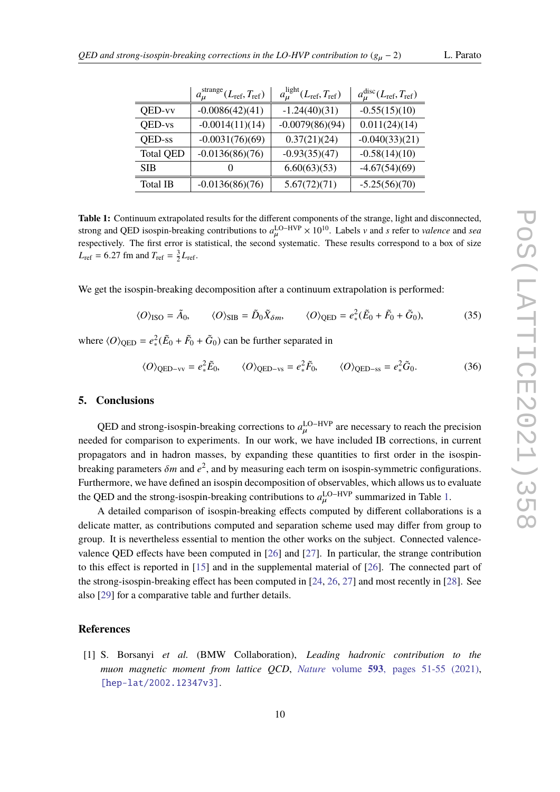<span id="page-9-1"></span>

|                  | $a_{\mu}^{\text{strange}}(L_{\text{ref}}, T_{\text{ref}})$ | $a_{\mu}^{\text{light}}(L_{\text{ref}}, T_{\text{ref}})$ | $a_{\mu}^{\text{disc}}(L_{\text{ref}}, T_{\text{ref}})$ |
|------------------|------------------------------------------------------------|----------------------------------------------------------|---------------------------------------------------------|
| QED-vv           | $-0.0086(42)(41)$                                          | $-1.24(40)(31)$                                          | $-0.55(15)(10)$                                         |
| QED-vs           | $-0.0014(11)(14)$                                          | $-0.0079(86)(94)$                                        | 0.011(24)(14)                                           |
| QED-ss           | $-0.0031(76)(69)$                                          | 0.37(21)(24)                                             | $-0.040(33)(21)$                                        |
| <b>Total QED</b> | $-0.0136(86)(76)$                                          | $-0.93(35)(47)$                                          | $-0.58(14)(10)$                                         |
| <b>SIB</b>       | $\mathbf{\Omega}$                                          | 6.60(63)(53)                                             | $-4.67(54)(69)$                                         |
| Total IB         | $-0.0136(86)(76)$                                          | 5.67(72)(71)                                             | $-5.25(56)(70)$                                         |

**Table 1:** Continuum extrapolated results for the different components of the strange, light and disconnected, strong and QED isospin-breaking contributions to  $a_{\mu}^{\text{LO-HVP}} \times 10^{10}$ . Labels *v* and *s* refer to *valence* and *sea*<br>reconstitutive. The first error is statistical, the second systematic. These results correspond to respectively. The first error is statistical, the second systematic. These results correspond to a box of size  $L_{\text{ref}} = 6.27 \text{ fm and } T_{\text{ref}} = \frac{3}{2} L_{\text{ref}}.$ 

We get the isospin-breaking decomposition after a continuum extrapolation is performed:

$$
\langle O \rangle_{\text{ISO}} = \tilde{A}_0, \qquad \langle O \rangle_{\text{SIB}} = \tilde{D}_0 \tilde{X}_{\delta m}, \qquad \langle O \rangle_{\text{QED}} = e_*^2 (\tilde{E}_0 + \tilde{F}_0 + \tilde{G}_0), \tag{35}
$$

where  $\langle O \rangle_{\text{QED}} = e_*^2 (\tilde{E}_0 + \tilde{F}_0 + \tilde{G}_0)$  can be further separated in

$$
\langle O \rangle_{\text{QED-vv}} = e_*^2 \tilde{E}_0, \qquad \langle O \rangle_{\text{QED-vs}} = e_*^2 \tilde{F}_0, \qquad \langle O \rangle_{\text{QED-ss}} = e_*^2 \tilde{G}_0.
$$
 (36)

#### **5. Conclusions**

QED and strong-isospin-breaking corrections to  $a_{\mu}^{\text{LO-HVP}}$  are necessary to reach the precision needed for comparison to experiments. In our work, we have included IB corrections, in current propagators and in hadron masses, by expanding these quantities to first order in the isospinbreaking parameters  $\delta m$  and  $e^2$ , and by measuring each term on isospin-symmetric configurations. Furthermore, we have defined an isospin decomposition of observables, which allows us to evaluate the QED and the strong-isospin-breaking contributions to  $a_{\mu}^{\text{LO-HVP}}$  summarized in Table [1.](#page-9-1)

A detailed comparison of isospin-breaking effects computed by different collaborations is a delicate matter, as contributions computed and separation scheme used may differ from group to group. It is nevertheless essential to mention the other works on the subject. Connected valencevalence QED effects have been computed in [\[26\]](#page-11-7) and [\[27\]](#page-11-8). In particular, the strange contribution to this effect is reported in [\[15\]](#page-10-10) and in the supplemental material of [\[26\]](#page-11-7). The connected part of the strong-isospin-breaking effect has been computed in [\[24,](#page-11-9) [26,](#page-11-7) [27\]](#page-11-8) and most recently in [\[28\]](#page-11-10). See also [\[29\]](#page-11-11) for a comparative table and further details.

### **References**

<span id="page-9-0"></span>[1] S. Borsanyi *et al.* (BMW Collaboration), *Leading hadronic contribution to the muon magnetic moment from lattice QCD*, *Nature* volume **593**[, pages 51-55 \(2021\),](https://www.nature.com/articles/s41586-021-03418-1) [\[hep-lat/2002.12347v3\]](https://arxiv.org/abs/2002.12347).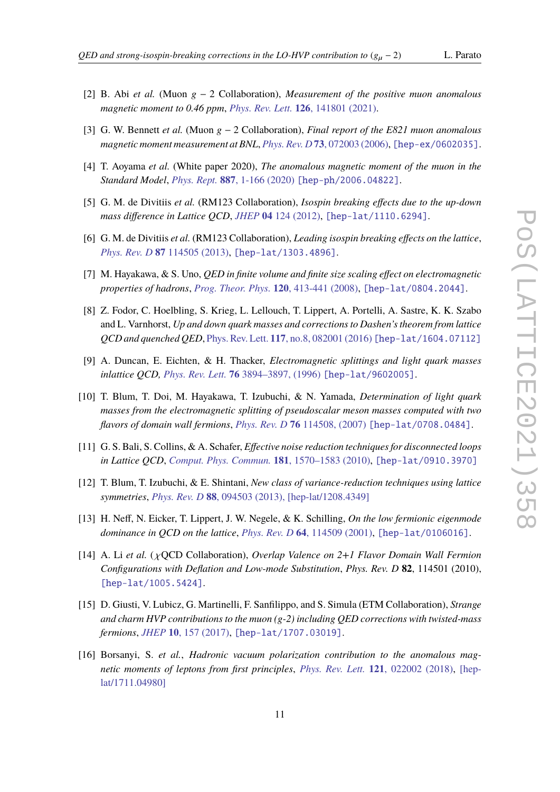- <span id="page-10-0"></span>[2] B. Abi *et al.* (Muon g − 2 Collaboration), *Measurement of the positive muon anomalous magnetic moment to 0.46 ppm*, *Phys. Rev. Lett.* **126**[, 141801 \(2021\).](https://journals.aps.org/prl/abstract/10.1103/PhysRevLett.126.141801)
- <span id="page-10-1"></span>[3] G. W. Bennett *et al.* (Muon g − 2 Collaboration), *Final report of the E821 muon anomalous magnetic moment measurement at BNL*, *Phys. Rev. D* **73**[, 072003 \(2006\),](https://journals.aps.org/prd/abstract/10.1103/PhysRevD.73.072003) [\[hep-ex/0602035\]](https://arxiv.org/abs/hep-ex/0602035).
- <span id="page-10-2"></span>[4] T. Aoyama *et al.* (White paper 2020), *The anomalous magnetic moment of the muon in the Standard Model*, *Phys. Rept.* **887**[, 1-166 \(2020\)](https://doi.org/10.1016/j.physrep.2020.07.006) [\[hep-ph/2006.04822\]](https://arxiv.org/abs/2006.04822).
- <span id="page-10-3"></span>[5] G. M. de Divitiis *et al.* (RM123 Collaboration), *Isospin breaking effects due to the up-down mass difference in Lattice QCD*, *JHEP* **04** [124 \(2012\),](https://link.springer.com/article/10.1007/JHEP04(2012)124) [\[hep-lat/1110.6294\]](https://arxiv.org/abs/1110.6294).
- <span id="page-10-4"></span>[6] G. M. de Divitiis *et al.* (RM123 Collaboration), *Leading isospin breaking effects on the lattice*, *Phys. Rev. D* **87** [114505 \(2013\),](https://journals.aps.org/prd/abstract/10.1103/PhysRevD.87.114505) [\[hep-lat/1303.4896\]](https://arxiv.org/abs/1303.4896).
- <span id="page-10-5"></span>[7] M. Hayakawa, & S. Uno, *QED in finite volume and finite size scaling effect on electromagnetic properties of hadrons*, *[Prog. Theor. Phys.](https://academic.oup.com/ptp/article/120/3/413/1838359)* **120**, 413-441 (2008), [\[hep-lat/0804.2044\]](https://arxiv.org/abs/0804.2044).
- <span id="page-10-12"></span>[8] Z. Fodor, C. Hoelbling, S. Krieg, L. Lellouch, T. Lippert, A. Portelli, A. Sastre, K. K. Szabo and L. Varnhorst, *Up and down quark masses and corrections to Dashen's theorem from lattice QCD and quenched QED*, Phys. Rev. Lett. **117**[, no.8, 082001 \(2016\)](https://link.aps.org/doi/10.1103/PhysRevLett.117.082001) [\[hep-lat/1604.07112\]](https://arxiv.org/abs/1604.07112)
- <span id="page-10-13"></span>[9] A. Duncan, E. Eichten, & H. Thacker, *Electromagnetic splittings and light quark masses inlattice QCD, Phys. Rev. Lett.* **76** [3894–3897, \(1996\)](http://dx.doi.org/10.1103/PhysRevLett.76.3894) [\[hep-lat/9602005\]](https://arxiv.org/abs/hep-lat/9602005).
- <span id="page-10-14"></span>[10] T. Blum, T. Doi, M. Hayakawa, T. Izubuchi, & N. Yamada, *Determination of light quark masses from the electromagnetic splitting of pseudoscalar meson masses computed with two flavors of domain wall fermions*, *Phys. Rev. D* **76** [114508, \(2007\)](http://dx.doi.org/10.1103/PhysRevD.76.114508) [\[hep-lat/0708.0484\]](https://arxiv.org/abs/0708.0484).
- <span id="page-10-6"></span>[11] G. S. Bali, S. Collins, & A. Schafer, *Effective noise reduction techniques for disconnected loops in Lattice QCD*, *[Comput. Phys. Commun.](https://doi.org/10.1016/j.cpc.2010.05.008)* **181**, 1570–1583 (2010), [\[hep-lat/0910.3970\]](https://arxiv.org/abs/0910.3970)
- <span id="page-10-7"></span>[12] T. Blum, T. Izubuchi, & E. Shintani, *New class of variance-reduction techniques using lattice symmetries*, *Phys. Rev. D* **88**[, 094503 \(2013\),](https://arxiv.org/ct?url=https%3A%2F%2Fdx.doi.org%2F10.1103%2FPhysRevD.88.094503&v=4d92ff7e) [\[hep-lat/1208.4349\]](https://arxiv.org/abs/1208.4349)
- <span id="page-10-8"></span>[13] H. Neff, N. Eicker, T. Lippert, J. W. Negele, & K. Schilling, *On the low fermionic eigenmode dominance in QCD on the lattice*, *Phys. Rev. D* **64**[, 114509 \(2001\),](https://journals.aps.org/prd/abstract/10.1103/PhysRevD.64.114509) [\[hep-lat/0106016\]](https://arxiv.org/abs/hep-lat/0106016).
- <span id="page-10-9"></span>[14] A. Li *et al.* ( χQCD Collaboration), *Overlap Valence on 2+1 Flavor Domain Wall Fermion Configurations with Deflation and Low-mode Substitution*, *Phys. Rev. D* **82**, 114501 (2010), [\[hep-lat/1005.5424\]](https://arxiv.org/abs/1005.5424).
- <span id="page-10-10"></span>[15] D. Giusti, V. Lubicz, G. Martinelli, F. Sanfilippo, and S. Simula (ETM Collaboration), *Strange and charm HVP contributions to the muon (g-2) including QED corrections with twisted-mass fermions*, *JHEP* **10**[, 157 \(2017\),](https://link.springer.com/article/10.1007%2FJHEP10%282017%29157) [\[hep-lat/1707.03019\]](https://arxiv.org/abs/1707.03019).
- <span id="page-10-11"></span>[16] Borsanyi, S. *et al.*, *Hadronic vacuum polarization contribution to the anomalous magnetic moments of leptons from first principles*, *Phys. Rev. Lett.* **121**[, 022002 \(2018\),](10.1103/PhysRevLett.121.022002) [\[hep](https://arxiv.org/abs/1711.04980)[lat/1711.04980\]](https://arxiv.org/abs/1711.04980)